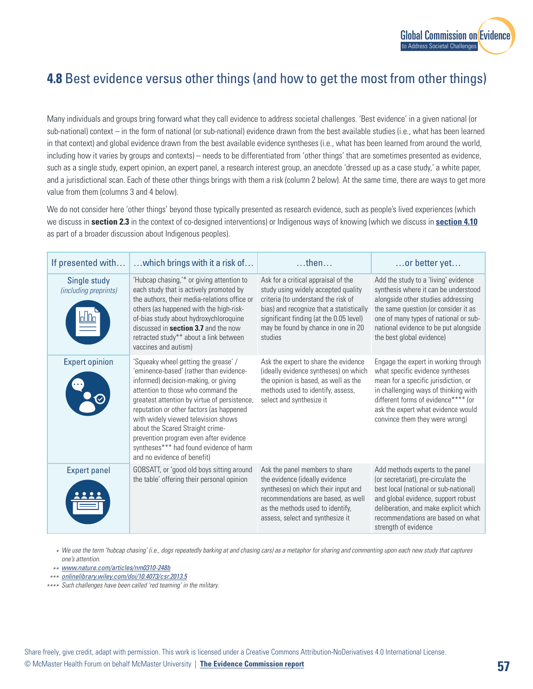

## **4.8** Best evidence versus other things (and how to get the most from other things)

Many individuals and groups bring forward what they call evidence to address societal challenges. 'Best evidence' in a given national (or sub-national) context – in the form of national (or sub-national) evidence drawn from the best available studies (i.e., what has been learned in that context) and global evidence drawn from the best available evidence syntheses (i.e., what has been learned from around the world, including how it varies by groups and contexts) – needs to be differentiated from 'other things' that are sometimes presented as evidence, such as a single study, expert opinion, an expert panel, a research interest group, an anecdote 'dressed up as a case study,' a white paper, and a jurisdictional scan. Each of these other things brings with them a risk (column 2 below). At the same time, there are ways to get more value from them (columns 3 and 4 below).

We do not consider here 'other things' beyond those typically presented as research evidence, such as people's lived experiences (which we discuss in **section 2.3** in the context of co-designed interventions) or Indigenous ways of knowing (which we discuss in **section 4.10** as part of a broader discussion about Indigenous peoples).

| If presented with                     | which brings with it a risk of                                                                                                                                                                                                                                                                                                                                                                                                                           | $$ then $$                                                                                                                                                                                                                                                 | $\ldots$ or better yet                                                                                                                                                                                                                                                    |
|---------------------------------------|----------------------------------------------------------------------------------------------------------------------------------------------------------------------------------------------------------------------------------------------------------------------------------------------------------------------------------------------------------------------------------------------------------------------------------------------------------|------------------------------------------------------------------------------------------------------------------------------------------------------------------------------------------------------------------------------------------------------------|---------------------------------------------------------------------------------------------------------------------------------------------------------------------------------------------------------------------------------------------------------------------------|
| Single study<br>(including preprints) | 'Hubcap chasing,'* or giving attention to<br>each study that is actively promoted by<br>the authors, their media-relations office or<br>others (as happened with the high-risk-<br>of-bias study about hydroxychloroquine<br>discussed in <b>section 3.7</b> and the now<br>retracted study** about a link between<br>vaccines and autism)                                                                                                               | Ask for a critical appraisal of the<br>study using widely accepted quality<br>criteria (to understand the risk of<br>bias) and recognize that a statistically<br>significant finding (at the 0.05 level)<br>may be found by chance in one in 20<br>studies | Add the study to a 'living' evidence<br>synthesis where it can be understood<br>alongside other studies addressing<br>the same question (or consider it as<br>one of many types of national or sub-<br>national evidence to be put alongside<br>the best global evidence) |
| <b>Expert opinion</b>                 | 'Squeaky wheel getting the grease' /<br>'eminence-based' (rather than evidence-<br>informed) decision-making, or giving<br>attention to those who command the<br>greatest attention by virtue of persistence,<br>reputation or other factors (as happened<br>with widely viewed television shows<br>about the Scared Straight crime-<br>prevention program even after evidence<br>syntheses*** had found evidence of harm<br>and no evidence of benefit) | Ask the expert to share the evidence<br>(ideally evidence syntheses) on which<br>the opinion is based, as well as the<br>methods used to identify, assess,<br>select and synthesize it                                                                     | Engage the expert in working through<br>what specific evidence syntheses<br>mean for a specific jurisdiction, or<br>in challenging ways of thinking with<br>different forms of evidence**** (or<br>ask the expert what evidence would<br>convince them they were wrong)   |
| <b>Expert panel</b>                   | GOBSATT, or 'good old boys sitting around<br>the table' offering their personal opinion                                                                                                                                                                                                                                                                                                                                                                  | Ask the panel members to share<br>the evidence (ideally evidence<br>syntheses) on which their input and<br>recommendations are based, as well<br>as the methods used to identify,<br>assess, select and synthesize it                                      | Add methods experts to the panel<br>(or secretariat), pre-circulate the<br>best local (national or sub-national)<br>and global evidence, support robust<br>deliberation, and make explicit which<br>recommendations are based on what<br>strength of evidence             |

*We use the term 'hubcap chasing' (i.e., dogs repeatedly barking at and chasing cars) as a metaphor for sharing and commenting upon each new study that captures \* one's attention.*

*[www.nature.com/articles/nm0310-248b](http://www.nature.com/articles/nm0310-248b) \*\**

*[onlinelibrary.wiley.com/doi/10.4073/csr.2013.5](http://onlinelibrary.wiley.com/doi/10.4073/csr.2013.5) \*\*\**

*Such challenges have been called 'red teaming' in the military. \*\*\*\**